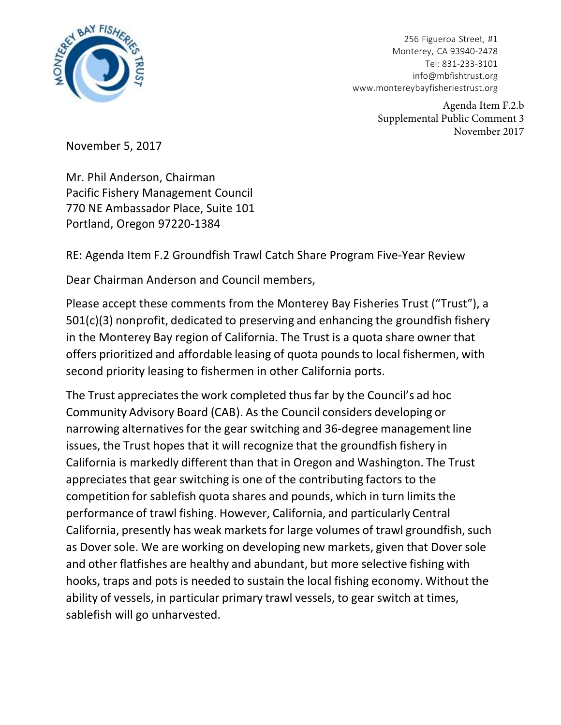

256 Figueroa Street, #1 Monterey, CA 93940-2478 Tel: 831-233-3101 [info@mbfishtrust.org](mailto:info@mbfishtrust.org)  [www.montereybayfisheriestrust.org](http://www.montereybayfisheriestrust.org/) 

> Agenda Item F.2.b Supplemental Public Comment 3 November 2017

November 5, 2017

Mr. Phil Anderson, Chairman Pacific Fishery Management Council 770 NE Ambassador Place, Suite 101 Portland, Oregon 97220-1384

RE: Agenda Item F.2 Groundfish Trawl Catch Share Program Five-Year Review

Dear Chairman Anderson and Council members,

Please accept these comments from the Monterey Bay Fisheries Trust ("Trust"), a 501(c)(3) nonprofit, dedicated to preserving and enhancing the groundfish fishery in the Monterey Bay region of California. The Trust is a quota share owner that offers prioritized and affordable leasing of quota pounds to local fishermen, with second priority leasing to fishermen in other California ports.

The Trust appreciates the work completed thus far by the Council's ad hoc Community Advisory Board (CAB). As the Council considers developing or narrowing alternatives for the gear switching and 36-degree management line issues, the Trust hopes that it will recognize that the groundfish fishery in California is markedly different than that in Oregon and Washington. The Trust appreciates that gear switching is one of the contributing factors to the competition for sablefish quota shares and pounds, which in turn limits the performance of trawl fishing. However, California, and particularly Central California, presently has weak markets for large volumes of trawl groundfish, such as Dover sole. We are working on developing new markets, given that Dover sole and other flatfishes are healthy and abundant, but more selective fishing with hooks, traps and pots is needed to sustain the local fishing economy. Without the ability of vessels, in particular primary trawl vessels, to gear switch at times, sablefish will go unharvested.